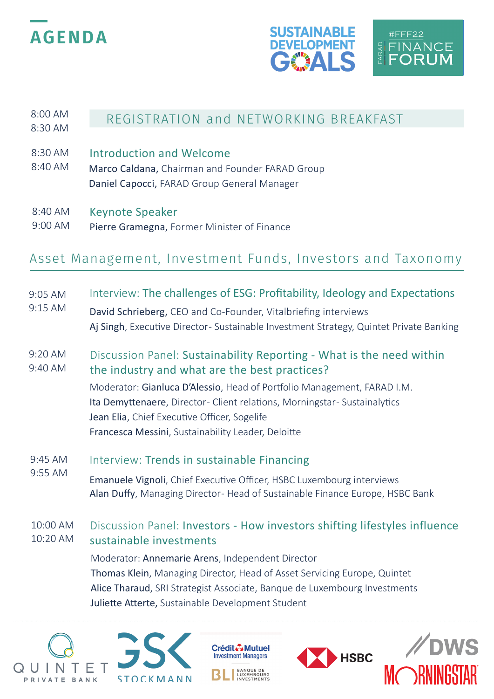





### 8:00 AM REGISTRATION and NETWORKING BREAKFAST 8:30 AM

- 8:30 AM Introduction and Welcome
- 8:40 AM Marco Caldana, Chairman and Founder FARAD Group Daniel Capocci, FARAD Group General Manager
- Keynote Speaker 8:40 AM
- Pierre Gramegna, Former Minister of Finance 9:00 AM

## Asset Management, Investment Funds, Investors and Taxonomy

## 9:05 AM Interview: The challenges of ESG: Profitability, Ideology and Expectations

- 9:15 AM David Schrieberg, CEO and Co-Founder, Vitalbriefing interviews Aj Singh, Executive Director - Sustainable Investment Strategy, Quintet Private Banking
- Discussion Panel: Sustainability Reporting What is the need within the industry and what are the best practices? 9:20 AM 9:40 AM

Moderator: Gianluca D'Alessio, Head of Portfolio Management, FARAD I.M. Ita Demyttenaere, Director- Client relations, Morningstar- Sustainalytics Jean Elia, Chief Executive Officer, Sogelife Francesca Messini, Sustainability Leader, Deloitte

- 9:45 AM Interview: Trends in sustainable Financing
- 9:55 AM Emanuele Vignoli, Chief Executive Officer, HSBC Luxembourg interviews Alan Duffy, Managing Director-Head of Sustainable Finance Europe, HSBC Bank

#### 10:00 AM 10:20 AM Discussion Panel: Investors - How investors shifting lifestyles influence sustainable investments

Moderator: Annemarie Arens, Independent Director Thomas Klein, Managing Director, Head of Asset Servicing Europe, Quintet Alice Tharaud, SRI Strategist Associate, Banque de Luxembourg Investments Juliette Atterte, Sustainable Development Student